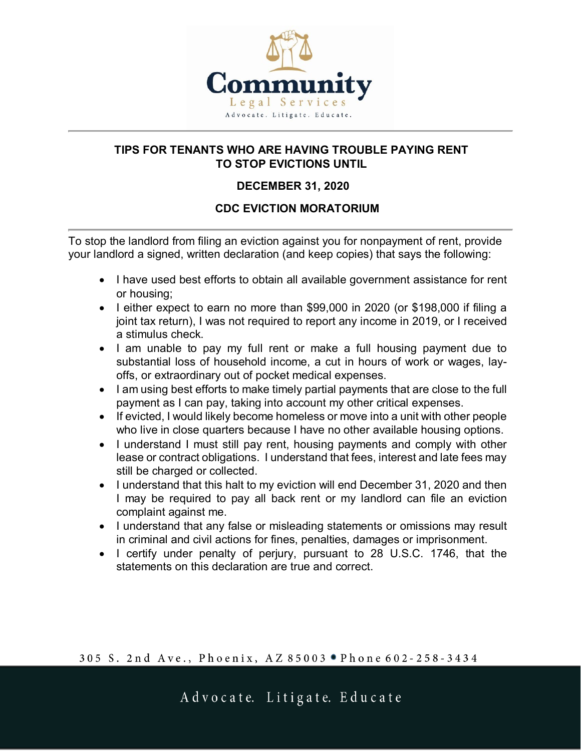

## **TIPS FOR TENANTS WHO ARE HAVING TROUBLE PAYING RENT TO STOP EVICTIONS UNTIL**

## **DECEMBER 31, 2020**

## **CDC EVICTION MORATORIUM**

To stop the landlord from filing an eviction against you for nonpayment of rent, provide your landlord a signed, written declaration (and keep copies) that says the following:

- I have used best efforts to obtain all available government assistance for rent or housing;
- I either expect to earn no more than \$99,000 in 2020 (or \$198,000 if filing a joint tax return), I was not required to report any income in 2019, or I received a stimulus check.
- I am unable to pay my full rent or make a full housing payment due to substantial loss of household income, a cut in hours of work or wages, layoffs, or extraordinary out of pocket medical expenses.
- I am using best efforts to make timely partial payments that are close to the full payment as I can pay, taking into account my other critical expenses.
- If evicted, I would likely become homeless or move into a unit with other people who live in close quarters because I have no other available housing options.
- I understand I must still pay rent, housing payments and comply with other lease or contract obligations. I understand that fees, interest and late fees may still be charged or collected.
- I understand that this halt to my eviction will end December 31, 2020 and then I may be required to pay all back rent or my landlord can file an eviction complaint against me.
- I understand that any false or misleading statements or omissions may result in criminal and civil actions for fines, penalties, damages or imprisonment.
- I certify under penalty of perjury, pursuant to 28 U.S.C. 1746, that the statements on this declaration are true and correct.

305 S. 2nd Ave., Phoenix, AZ 85003 . Phone 602-258-3434

Advocate. Litigate. Educate